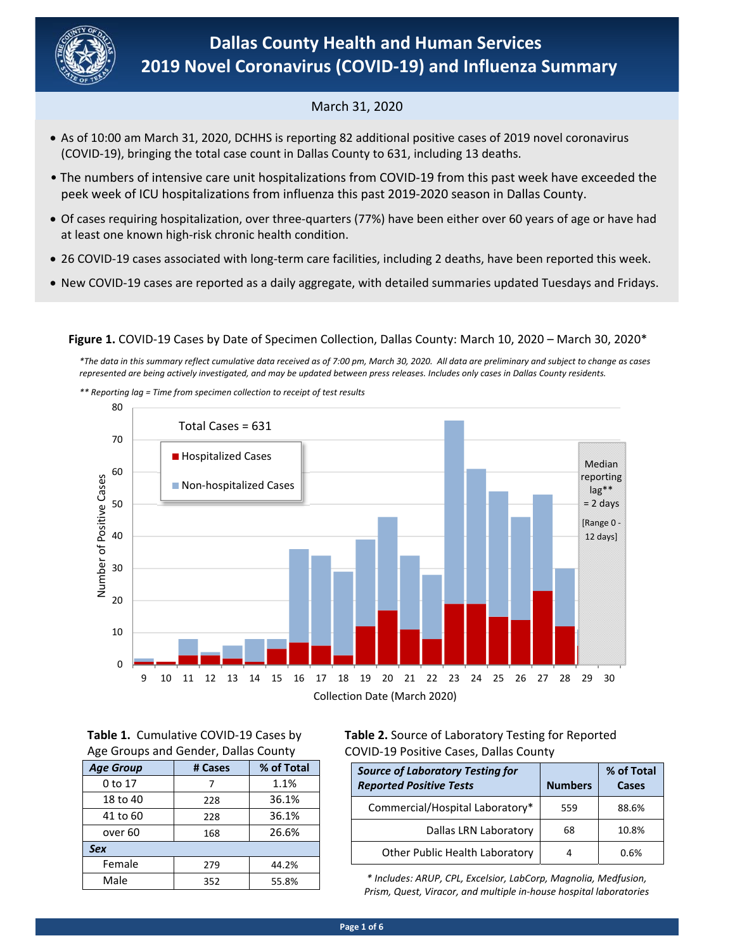

# March 31, 2020

- (COVID‐19), bringing the total case count in Dallas County to 631, including 13 deaths. As of 10:00 am March 31, 2020, DCHHS is reporting 82 additional positive cases of 2019 novel coronavirus
- The numbers of intensive care unit hospitalizations from COVID‐19 from this past week have exceeded the peek week of ICU hospitalizations from influenza this past 2019‐2020 season in Dallas County.
- Of cases requiring hospitalization, over three‐quarters (77%) have been either over 60 years of age or have had at least one known high‐risk chronic health condition.
- 26 COVID-19 cases associated with long-term care facilities, including 2 deaths, have been reported this week.
- New COVID‐19 cases are reported as a daily aggregate, with detailed summaries updated Tuesdays and Fridays.

**Figure 1.** COVID‐19 Cases by Date of Specimen Collection, Dallas County: March 10, 2020 – March 30, 2020\*

*\*The data in this summary reflect cumulative data received as of 7:00 pm, March 30, 2020. All data are preliminary and subject to change as cases represented are being actively investigated, and may be updated between press releases. Includes only cases in Dallas County residents.* 

*\*\* Reporting lag = Time from specimen collection to receipt of test results*



**Table 1.**  Cumulative COVID‐19 Cases by Age Groups and Gender, Dallas County

| <b>Age Group</b>   | # Cases | % of Total |
|--------------------|---------|------------|
| 0 to 17            |         | 1.1%       |
| 18 to 40           | 228     | 36.1%      |
| 41 to 60           | 228     | 36.1%      |
| over <sub>60</sub> | 168     | 26.6%      |
| <b>Sex</b>         |         |            |
| Female             | 279     | 44.2%      |
| Male               | 352     | 55.8%      |

**Table 2.** Source of Laboratory Testing for Reported COVID‐19 Positive Cases, Dallas County

| <b>Source of Laboratory Testing for</b><br><b>Reported Positive Tests</b> | <b>Numbers</b> | % of Total<br>Cases |
|---------------------------------------------------------------------------|----------------|---------------------|
| Commercial/Hospital Laboratory*                                           | 559            | 88.6%               |
| Dallas LRN Laboratory                                                     | 68             | 10.8%               |
| Other Public Health Laboratory                                            |                | 0.6%                |

*\* Includes: ARUP, CPL, Excelsior, LabCorp, Magnolia, Medfusion, Prism, Quest, Viracor, and multiple in‐house hospital laboratories*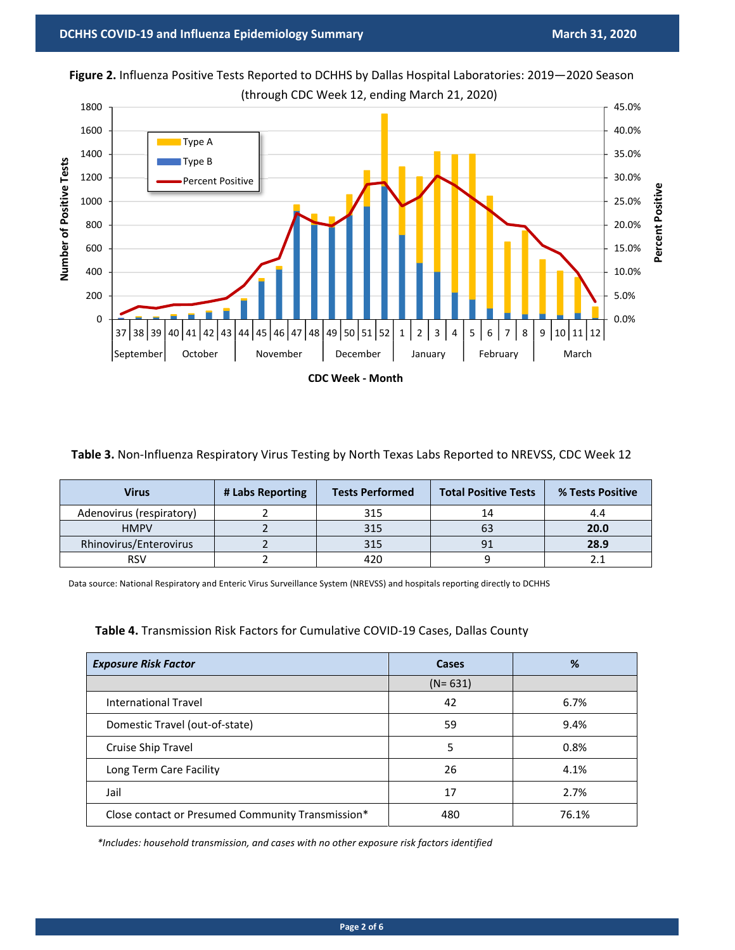0

200





| Table 3. Non-Influenza Respiratory Virus Testing by North Texas Labs Reported to NREVSS, CDC Week 12 |  |  |  |  |
|------------------------------------------------------------------------------------------------------|--|--|--|--|
|------------------------------------------------------------------------------------------------------|--|--|--|--|

37 38 39 40 41 42 43 44 5 46 47 48 49 50 51 52 1 2 3 4 5 6 7 8 9 10 11 12 September October | November | December | January | February | March

**CDC Week ‐ Month**

| Virus                    | # Labs Reporting | <b>Tests Performed</b> | <b>Total Positive Tests</b> | % Tests Positive |
|--------------------------|------------------|------------------------|-----------------------------|------------------|
| Adenovirus (respiratory) |                  | 315                    | 14                          | 4.4              |
| <b>HMPV</b>              |                  | 315                    | 63                          | 20.0             |
| Rhinovirus/Enterovirus   |                  | 315                    |                             | 28.9             |
| RSV                      |                  | 420                    |                             |                  |

Data source: National Respiratory and Enteric Virus Surveillance System (NREVSS) and hospitals reporting directly to DCHHS

**Table 4.** Transmission Risk Factors for Cumulative COVID‐19 Cases, Dallas County

| <b>Exposure Risk Factor</b>                       | Cases       | %     |
|---------------------------------------------------|-------------|-------|
|                                                   | $(N = 631)$ |       |
| International Travel                              | 42          | 6.7%  |
| Domestic Travel (out-of-state)                    | 59          | 9.4%  |
| Cruise Ship Travel                                | 5           | 0.8%  |
| Long Term Care Facility                           | 26          | 4.1%  |
| Jail                                              | 17          | 2.7%  |
| Close contact or Presumed Community Transmission* | 480         | 76.1% |

*\*Includes: household transmission, and cases with no other exposure risk factors identified*

0.0%

5.0%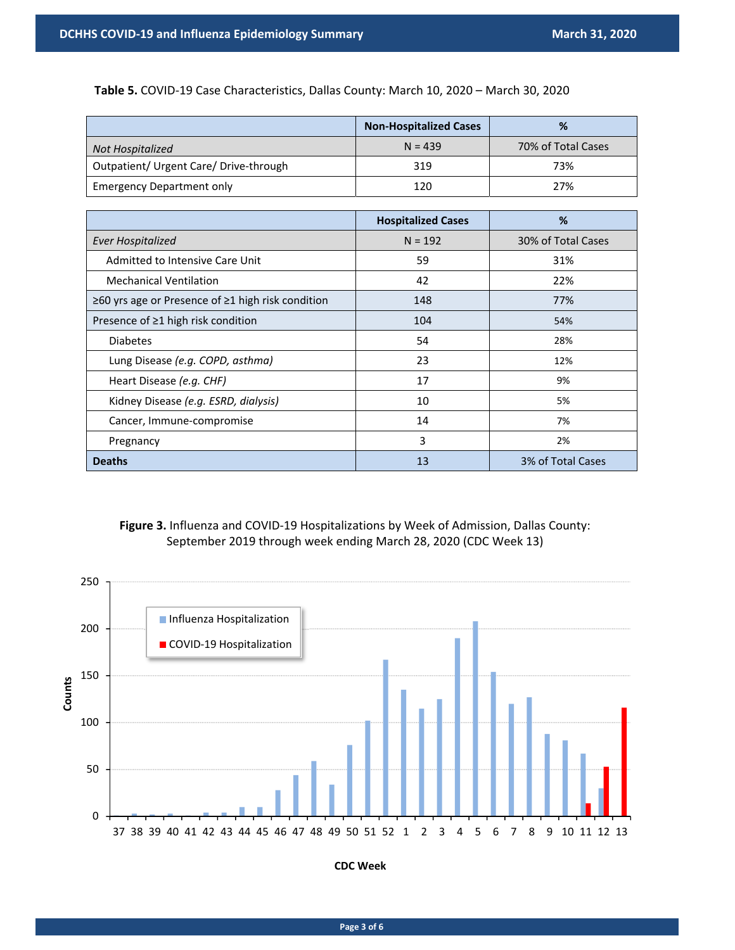**Table 5.** COVID‐19 Case Characteristics, Dallas County: March 10, 2020 – March 30, 2020

|                                        | <b>Non-Hospitalized Cases</b> | %                  |
|----------------------------------------|-------------------------------|--------------------|
| <b>Not Hospitalized</b>                | $N = 439$                     | 70% of Total Cases |
| Outpatient/ Urgent Care/ Drive-through | 319                           | 73%                |
| <b>Emergency Department only</b>       | 120                           | 27%                |

|                                                   | <b>Hospitalized Cases</b> | %                  |
|---------------------------------------------------|---------------------------|--------------------|
| <b>Ever Hospitalized</b>                          | $N = 192$                 | 30% of Total Cases |
| Admitted to Intensive Care Unit                   | 59                        | 31%                |
| <b>Mechanical Ventilation</b>                     | 42                        | 22%                |
| ≥60 yrs age or Presence of ≥1 high risk condition | 148                       | 77%                |
| Presence of $\geq 1$ high risk condition          | 104                       | 54%                |
| <b>Diabetes</b>                                   | 54                        | 28%                |
| Lung Disease (e.g. COPD, asthma)                  | 23                        | 12%                |
| Heart Disease (e.g. CHF)                          | 17                        | 9%                 |
| Kidney Disease (e.g. ESRD, dialysis)              | 10                        | 5%                 |
| Cancer, Immune-compromise                         | 14                        | 7%                 |
| Pregnancy                                         | 3                         | 2%                 |
| <b>Deaths</b>                                     | 13                        | 3% of Total Cases  |

## **Figure 3.** Influenza and COVID‐19 Hospitalizations by Week of Admission, Dallas County: September 2019 through week ending March 28, 2020 (CDC Week 13)



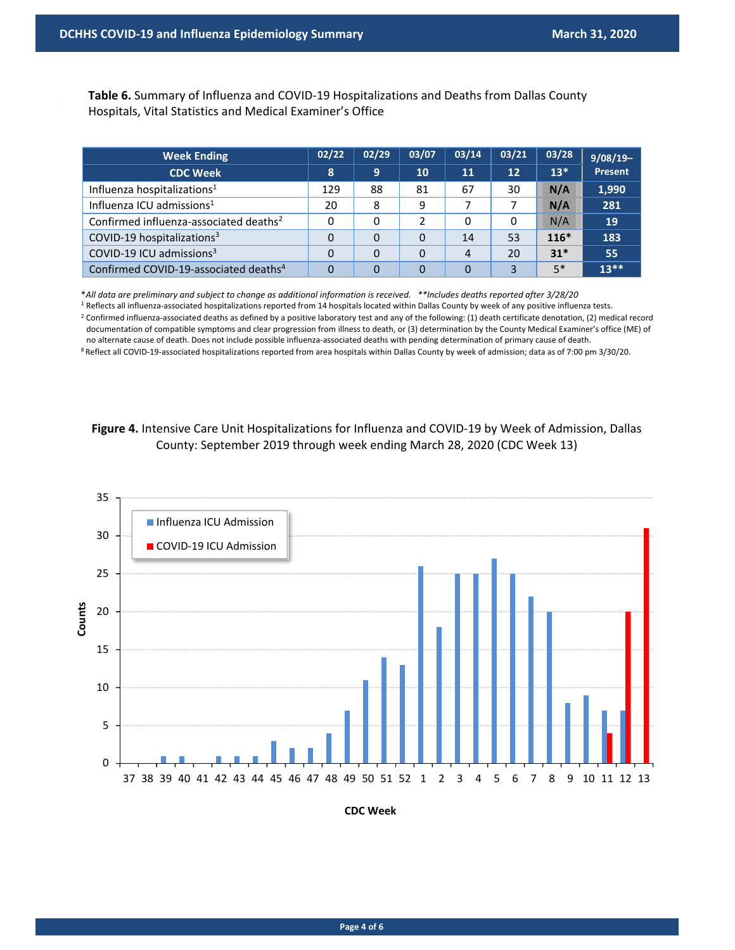Table 6. Summary of Influenza and COVID-19 Hospitalizations and Deaths from Dallas County Hospitals, Vital Statistics and Medical Examiner's Office

| <b>Week Ending</b>                                 | 02/22    | 02/29 | 03/07 | 03/14          | 03/21 | 03/28      | $9/08/19-$ |
|----------------------------------------------------|----------|-------|-------|----------------|-------|------------|------------|
| <b>CDC Week</b>                                    | 8        | 9     | 10    | 11             | 12    | $13*$      | Present    |
| Influenza hospitalizations <sup>1</sup>            | 129      | 88    | 81    | 67             | 30    | NGC 200    | 1,990      |
| Influenza ICU admissions <sup>1</sup>              | 20       | 8     | 9     |                |       | <b>N/A</b> | 281        |
| Confirmed influenza-associated deaths <sup>2</sup> | 0        | 0     | 2     | 0              | 0     | ssa et     | <b>19</b>  |
| COVID-19 hospitalizations <sup>3</sup>             | 0        | 0     | 0     | 14             | 53    | $116*$     | 183        |
| COVID-19 ICU admissions <sup>3</sup>               | 0        | 0     | 0     | 4              | 20    | $31*$      | 55         |
| Confirmed COVID-19-associated deaths <sup>4</sup>  | $\Omega$ | 0     | 0     | $\overline{0}$ | 3     | $5*$       | $13**$     |

\**All data are preliminary and subject to change as additional information is received. \*\*Includes deaths reported after 3/28/20*

<sup>1</sup> Reflects all influenza-associated hospitalizations reported from 14 hospitals located within Dallas County by week of any positive influenza tests.

<sup>2</sup> Confirmed influenza-associated deaths as defined by a positive laboratory test and any of the following: (1) death certificate denotation, (2) medical record documentation of compatible symptoms and clear progression from illness to death, or (3) determination by the County Medical Examiner's office (ME) of no alternate cause of death. Does not include possible influenza‐associated deaths with pending determination of primary cause of death.

8 Reflect all COVID-19-associated hospitalizations reported from area hospitals within Dallas County by week of admission; data as of 7:00 pm 3/30/20.





**CDC Week**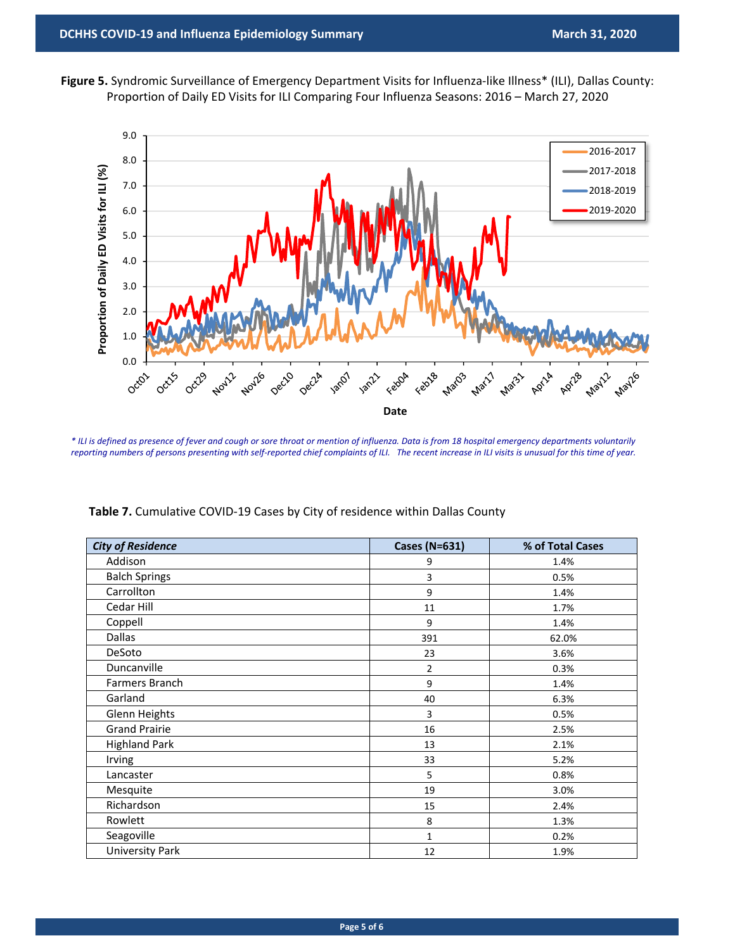



*\* ILI is defined as presence of fever and cough or sore throat or mention of influenza. Data is from 18 hospital emergency departments voluntarily reporting numbers of persons presenting with self‐reported chief complaints of ILI. The recent increase in ILI visits is unusual for this time of year.* 

| <b>City of Residence</b> | <b>Cases (N=631)</b> | % of Total Cases |
|--------------------------|----------------------|------------------|
| Addison                  | 9                    | 1.4%             |
| <b>Balch Springs</b>     | 3                    | 0.5%             |
| Carrollton               | 9                    | 1.4%             |
| Cedar Hill               | 11                   | 1.7%             |
| Coppell                  | 9                    | 1.4%             |
| Dallas                   | 391                  | 62.0%            |
| DeSoto                   | 23                   | 3.6%             |
| Duncanville              | $\overline{2}$       | 0.3%             |
| Farmers Branch           | 9                    | 1.4%             |
| Garland                  | 40                   | 6.3%             |
| <b>Glenn Heights</b>     | 3                    | 0.5%             |
| <b>Grand Prairie</b>     | 16                   | 2.5%             |
| <b>Highland Park</b>     | 13                   | 2.1%             |
| Irving                   | 33                   | 5.2%             |
| Lancaster                | 5                    | 0.8%             |
| Mesquite                 | 19                   | 3.0%             |
| Richardson               | 15                   | 2.4%             |
| Rowlett                  | 8                    | 1.3%             |
| Seagoville               | $\mathbf{1}$         | 0.2%             |
| <b>University Park</b>   | 12                   | 1.9%             |

Table 7. Cumulative COVID-19 Cases by City of residence within Dallas County